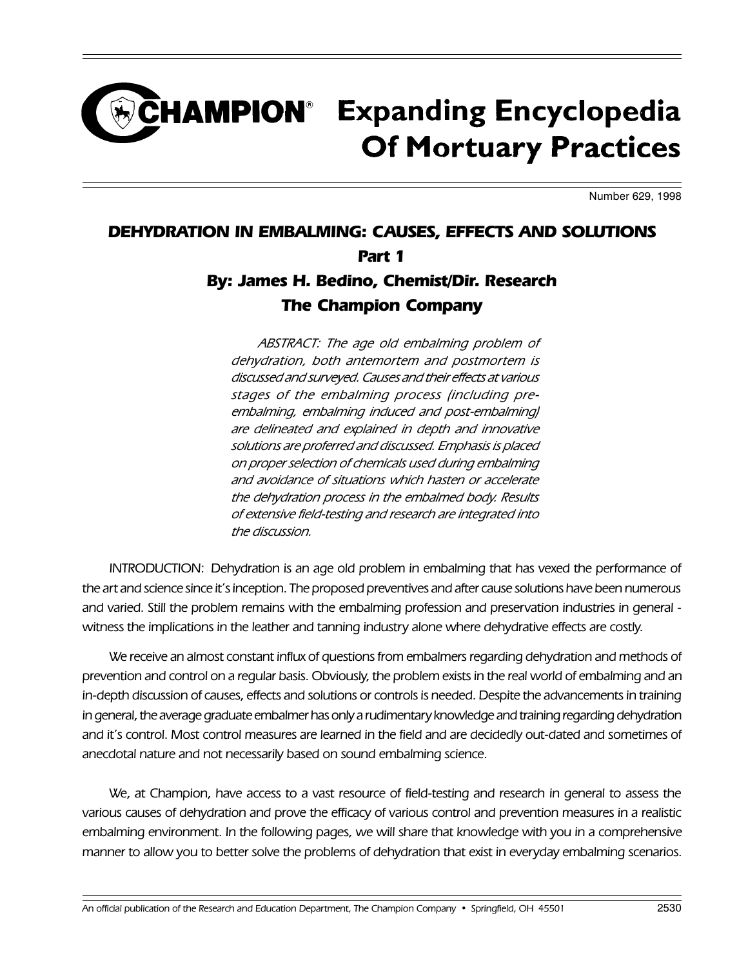## **CHAMPION**® Expanding Encyclopedia **Of Mortuary Practices**

Number 629, 1998

## DEHYDRATION IN EMBALMING: CAUSES, EFFECTS AND SOLUTIONS Part 1 By: James H. Bedino, Chemist/Dir. Research The Champion Company

ABSTRACT: The age old embalming problem of dehydration, both antemortem and postmortem is discussed and surveyed. Causes and their effects at various stages of the embalming process (including preembalming, embalming induced and post-embalming) are delineated and explained in depth and innovative solutions are proferred and discussed. Emphasis is placed on proper selection of chemicals used during embalming and avoidance of situations which hasten or accelerate the dehydration process in the embalmed body. Results of extensive field-testing and research are integrated into the discussion.

INTRODUCTION: Dehydration is an age old problem in embalming that has vexed the performance of the art and science since it's inception. The proposed preventives and after cause solutions have been numerous and varied. Still the problem remains with the embalming profession and preservation industries in general witness the implications in the leather and tanning industry alone where dehydrative effects are costly.

We receive an almost constant influx of questions from embalmers regarding dehydration and methods of prevention and control on a regular basis. Obviously, the problem exists in the real world of embalming and an in-depth discussion of causes, effects and solutions or controls is needed. Despite the advancements in training in general, the average graduate embalmer has only a rudimentary knowledge and training regarding dehydration and it's control. Most control measures are learned in the field and are decidedly out-dated and sometimes of anecdotal nature and not necessarily based on sound embalming science.

We, at Champion, have access to a vast resource of field-testing and research in general to assess the various causes of dehydration and prove the efficacy of various control and prevention measures in a realistic embalming environment. In the following pages, we will share that knowledge with you in a comprehensive manner to allow you to better solve the problems of dehydration that exist in everyday embalming scenarios.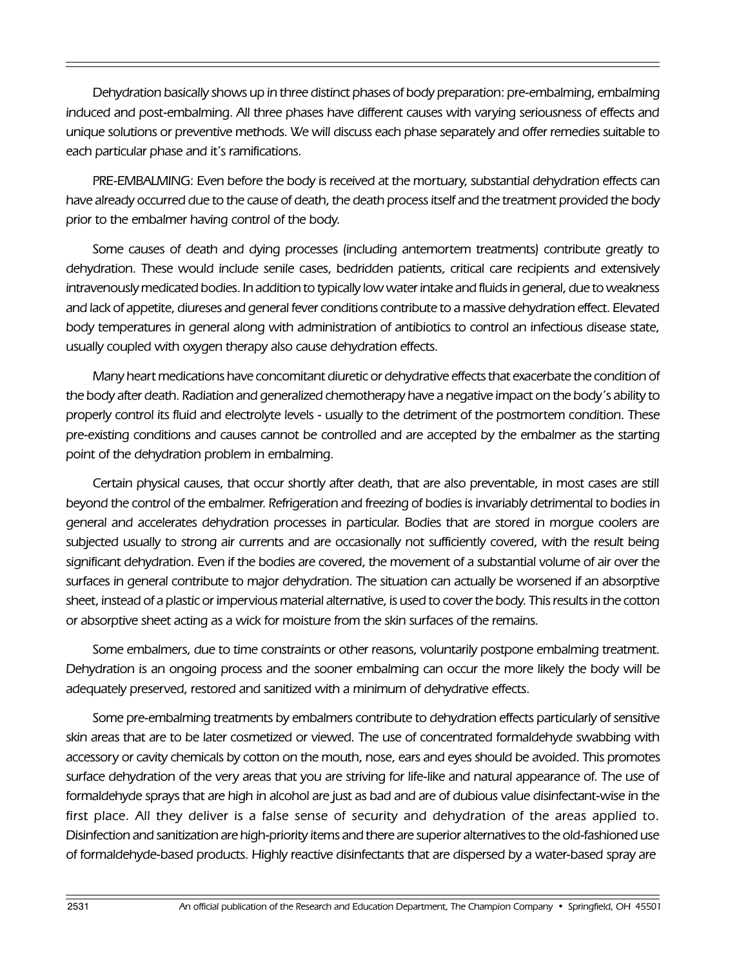Dehydration basically shows up in three distinct phases of body preparation: pre-embalming, embalming induced and post-embalming. All three phases have different causes with varying seriousness of effects and unique solutions or preventive methods. We will discuss each phase separately and offer remedies suitable to each particular phase and it's ramifications.

PRE-EMBALMING: Even before the body is received at the mortuary, substantial dehydration effects can have already occurred due to the cause of death, the death process itself and the treatment provided the body prior to the embalmer having control of the body.

Some causes of death and dying processes (including antemortem treatments) contribute greatly to dehydration. These would include senile cases, bedridden patients, critical care recipients and extensively intravenously medicated bodies. In addition to typically low water intake and fluids in general, due to weakness and lack of appetite, diureses and general fever conditions contribute to a massive dehydration effect. Elevated body temperatures in general along with administration of antibiotics to control an infectious disease state, usually coupled with oxygen therapy also cause dehydration effects.

Many heart medications have concomitant diuretic or dehydrative effects that exacerbate the condition of the body after death. Radiation and generalized chemotherapy have a negative impact on the body's ability to properly control its fluid and electrolyte levels - usually to the detriment of the postmortem condition. These pre-existing conditions and causes cannot be controlled and are accepted by the embalmer as the starting point of the dehydration problem in embalming.

Certain physical causes, that occur shortly after death, that are also preventable, in most cases are still beyond the control of the embalmer. Refrigeration and freezing of bodies is invariably detrimental to bodies in general and accelerates dehydration processes in particular. Bodies that are stored in morgue coolers are subjected usually to strong air currents and are occasionally not sufficiently covered, with the result being significant dehydration. Even if the bodies are covered, the movement of a substantial volume of air over the surfaces in general contribute to major dehydration. The situation can actually be worsened if an absorptive sheet, instead of a plastic or impervious material alternative, is used to cover the body. This results in the cotton or absorptive sheet acting as a wick for moisture from the skin surfaces of the remains.

Some embalmers, due to time constraints or other reasons, voluntarily postpone embalming treatment. Dehydration is an ongoing process and the sooner embalming can occur the more likely the body will be adequately preserved, restored and sanitized with a minimum of dehydrative effects.

Some pre-embalming treatments by embalmers contribute to dehydration effects particularly of sensitive skin areas that are to be later cosmetized or viewed. The use of concentrated formaldehyde swabbing with accessory or cavity chemicals by cotton on the mouth, nose, ears and eyes should be avoided. This promotes surface dehydration of the very areas that you are striving for life-like and natural appearance of. The use of formaldehyde sprays that are high in alcohol are just as bad and are of dubious value disinfectant-wise in the first place. All they deliver is a false sense of security and dehydration of the areas applied to. Disinfection and sanitization are high-priority items and there are superior alternatives to the old-fashioned use of formaldehyde-based products. Highly reactive disinfectants that are dispersed by a water-based spray are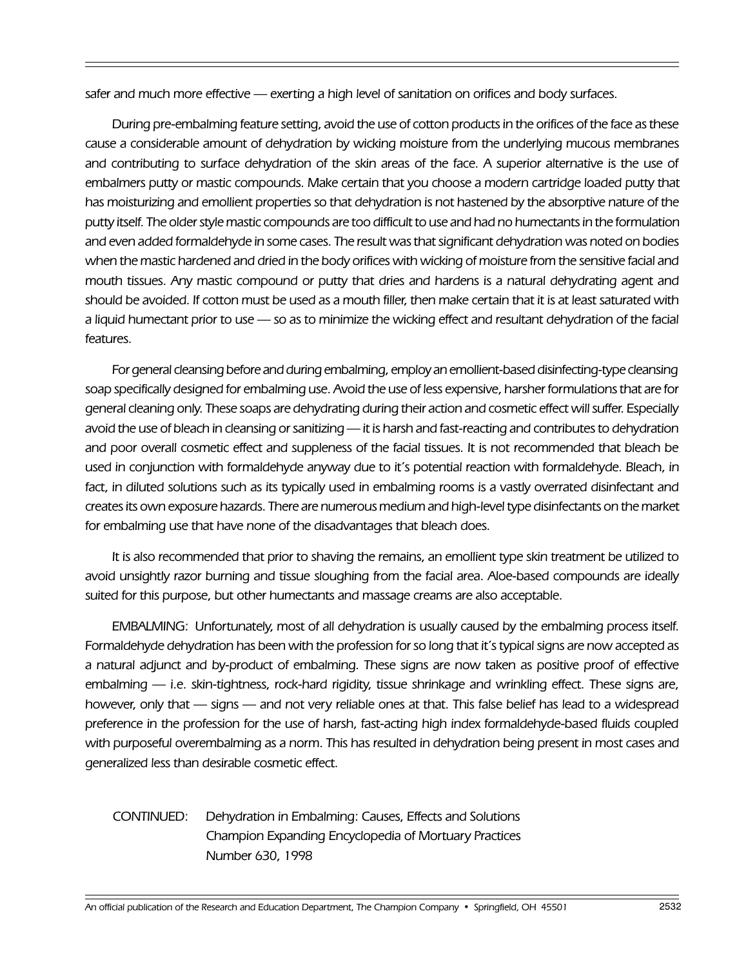safer and much more effective — exerting a high level of sanitation on orifices and body surfaces.

During pre-embalming feature setting, avoid the use of cotton products in the orifices of the face as these cause a considerable amount of dehydration by wicking moisture from the underlying mucous membranes and contributing to surface dehydration of the skin areas of the face. A superior alternative is the use of embalmers putty or mastic compounds. Make certain that you choose a modern cartridge loaded putty that has moisturizing and emollient properties so that dehydration is not hastened by the absorptive nature of the putty itself. The older style mastic compounds are too difficult to use and had no humectants in the formulation and even added formaldehyde in some cases. The result was that significant dehydration was noted on bodies when the mastic hardened and dried in the body orifices with wicking of moisture from the sensitive facial and mouth tissues. Any mastic compound or putty that dries and hardens is a natural dehydrating agent and should be avoided. If cotton must be used as a mouth filler, then make certain that it is at least saturated with a liquid humectant prior to use - so as to minimize the wicking effect and resultant dehydration of the facial features.

For general cleansing before and during embalming, employ an emollient-based disinfecting-type cleansing soap specifically designed for embalming use. Avoid the use of less expensive, harsher formulations that are for general cleaning only. These soaps are dehydrating during their action and cosmetic effect will suffer. Especially avoid the use of bleach in cleansing or sanitizing — it is harsh and fast-reacting and contributes to dehydration and poor overall cosmetic effect and suppleness of the facial tissues. It is not recommended that bleach be used in conjunction with formaldehyde anyway due to it's potential reaction with formaldehyde. Bleach, in fact, in diluted solutions such as its typically used in embalming rooms is a vastly overrated disinfectant and creates its own exposure hazards. There are numerous medium and high-level type disinfectants on the market for embalming use that have none of the disadvantages that bleach does.

It is also recommended that prior to shaving the remains, an emollient type skin treatment be utilized to avoid unsightly razor burning and tissue sloughing from the facial area. Aloe-based compounds are ideally suited for this purpose, but other humectants and massage creams are also acceptable.

EMBALMING: Unfortunately, most of all dehydration is usually caused by the embalming process itself. Formaldehyde dehydration has been with the profession for so long that it's typical signs are now accepted as a natural adjunct and by-product of embalming. These signs are now taken as positive proof of effective embalming — i.e. skin-tightness, rock-hard rigidity, tissue shrinkage and wrinkling effect. These signs are, however, only that - signs - and not very reliable ones at that. This false belief has lead to a widespread preference in the profession for the use of harsh, fast-acting high index formaldehyde-based fluids coupled with purposeful overembalming as a norm. This has resulted in dehydration being present in most cases and generalized less than desirable cosmetic effect.

## CONTINUED: Dehydration in Embalming: Causes, Effects and Solutions Champion Expanding Encyclopedia of Mortuary Practices Number 630, 1998